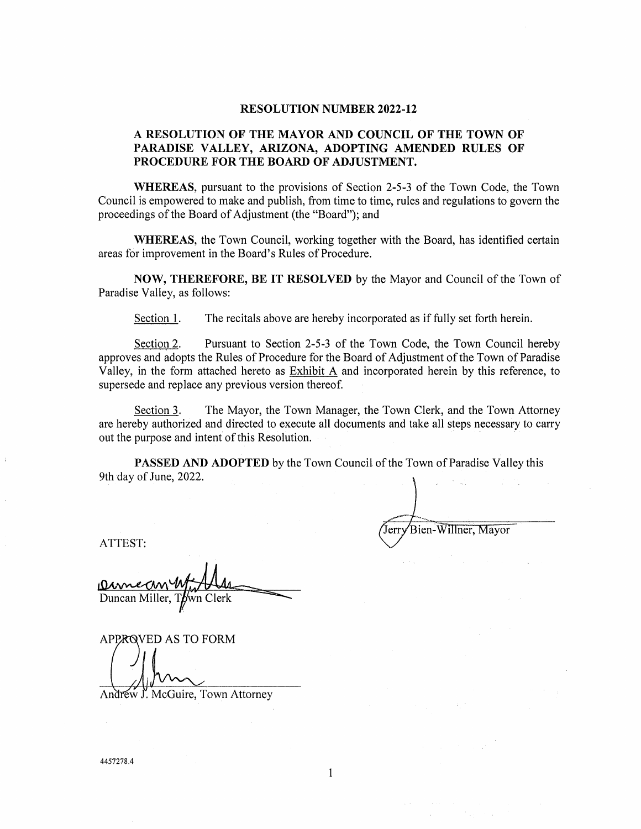#### **RESOLUTION NUMBER 2022-12**

# **A RESOLUTION OF THE MAYOR AND COUNCIL OF THE TOWN OF PARADISE VALLEY, ARIZONA, ADOPTING AMENDED RULES OF PROCEDURE FOR THE BOARD OF ADJUSTMENT.**

**WHEREAS,** pursuant to the provisions of Section 2-5-3 of the Town Code, the Town Council is empowered to make and publish, from time to time, rules and regulations to govern the proceedings of the Board of Adjustment (the "Board"); and

**WHEREAS,** the Town Council, working together with the Board, has identified certain areas for improvement in the Board's Rules of Procedure.

**NOW, THEREFORE, BE IT RESOLVED** by the Mayor and Council of the Town of Paradise Valley, as follows:

Section 1. The recitals above are hereby incorporated as if fully set forth herein.

Section 2. Pursuant to Section 2-5-3 of the Town Code, the Town Council hereby approves and adopts the Rules of Procedure for the Board of Adjustment of the Town of Paradise Valley, in the form attached hereto as Exhibit A and incorporated herein by this reference, to supersede and replace any previous version thereof.

Section 3. The Mayor, the Town Manager, the Town Clerk, and the Town Attorney are hereby authorized and directed to execute all documents and take all steps necessary to carry out the purpose and intent of this Resolution.

**PASSED AND ADOPTED** by the Town Council of the Town of Paradise Valley this 9th day of June, 2022.

Bien-Willner, Mayor

ATTEST:

Duncan Miller,

**APPROVED AS TO FORM** 

Andrew J. McGuire, Town Attorney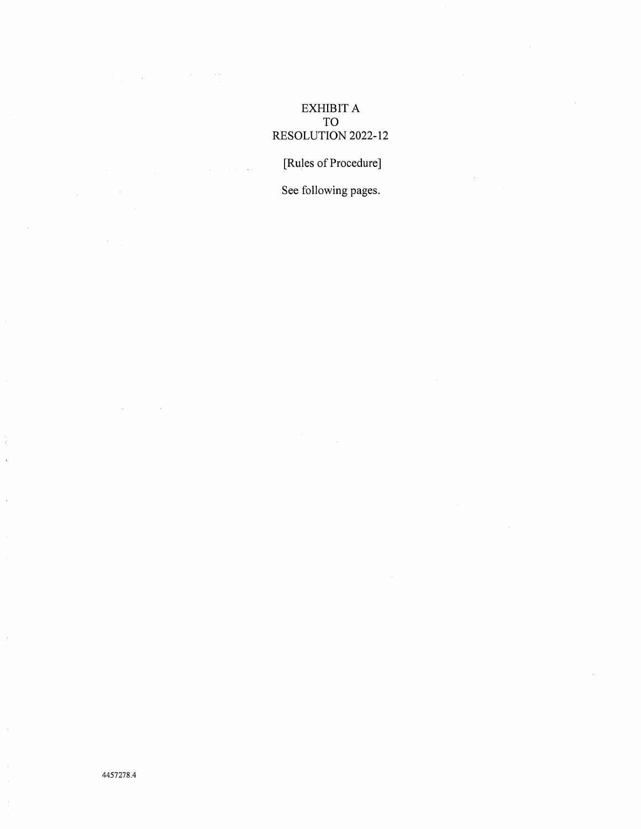# EXHIBIT A TO RESOLUTION 2022-12

[Rules of Procedure]

See following pages.

 $\bar{z}$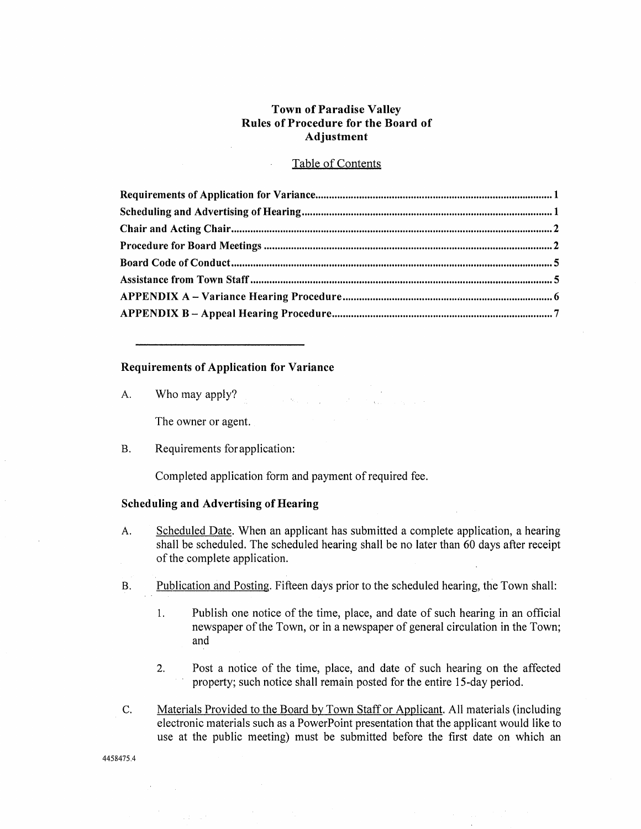# **Town of Paradise Valley Rules of Procedure for the Board of Adjustment**

## Table of Contents

#### **Requirements of Application for Variance**

A. Who may apply?

The owner or agent.

B. Requirements for application:

Completed application form and payment of required fee.

### **Scheduling and Advertising of Hearing**

A. Scheduled Date. When an applicant has submitted a complete application, a hearing shall be scheduled. The scheduled hearing shall be no later than 60 days after receipt of the complete application.

- B. Publication and Posting. Fifteen days prior to the scheduled hearing, the Town shall:
	- 1. Publish one notice of the time, place, and date of such hearing in an official newspaper of the Town, or in a newspaper of general circulation in the Town; and
	- 2. Post a notice of the time, place, and date of such hearing on the affected property; such notice shall remain posted for the entire 15-day period.
- C. Materials Provided to the Board by Town Staff or Applicant. All materials (including electronic materials such as a PowerPoint presentation that the applicant would like to use at the public meeting) must be submitted before the first date on which an

4458475.4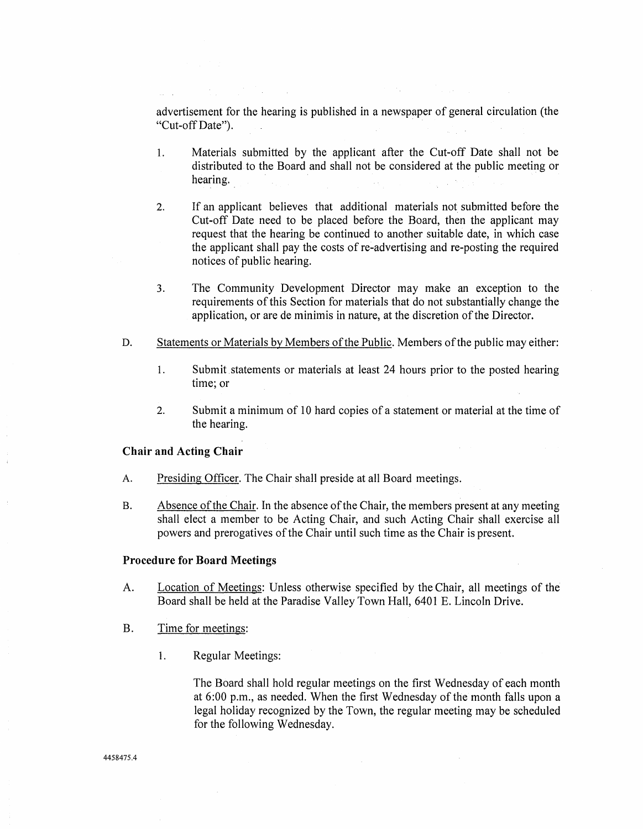advertisement for the hearing is published in a newspaper of general circulation (the "Cut-off Date").

- 1. Materials submitted by the applicant after the Cut-off Date shall not be distributed to the Board and shall not be considered at the public meeting or hearing.
- 2. If an applicant believes that additional materials not submitted before the Cut-off Date need to be placed before the Board, then the applicant may request that the hearing be continued to another suitable date, in which case the applicant shall pay the costs of re-advertising and re-posting the required notices of public hearing.
- 3. The Community Development Director may make an exception to the requirements of this Section for materials that do not substantially change the application, or are de minimis in nature, at the discretion of the Director.
- D. Statements or Materials by Members of the Public. Members of the public may either:
	- 1. Submit. statements or materials at least 24 hours prior to the posted hearing time; or
	- 2. Submit a minimum of 10 hard copies of a statement or material at the time of the hearing.

## **Chair and Acting Chair**

- A. Presiding Officer. The Chair shall preside at all Board meetings.
- B. Absence of the Chair. In the absence of the Chair, the members present at any meeting shall elect a member to be Acting Chair, and such Acting Chair shall exercise all powers and prerogatives of the Chair until such time as the Chair is present.

### **Procedure for Board Meetings**

- A. Location of Meetings: Unless otherwise specified by the Chair, all meetings of the Board shall be held at the Paradise Valley Town Hall, 6401 E. Lincoln Drive.
- B. Time for meetings:
	- 1. Regular Meetings:

The Board shall hold regular meetings on the first Wednesday of each month at 6:00 p.m., as needed. When the first Wednesday of the month falls upon a legal holiday recognized by the Town, the regular meeting may be scheduled for the following Wednesday.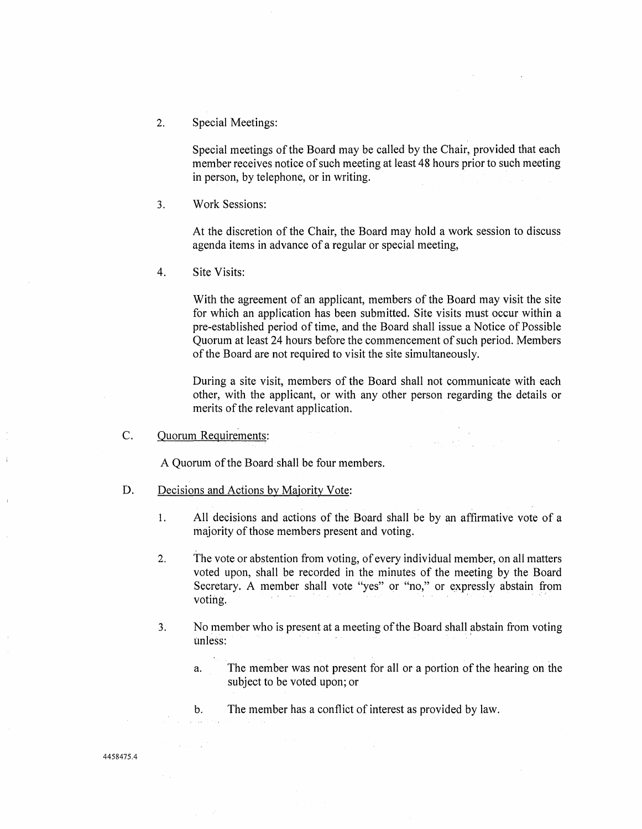2. Special Meetings:

Special meetings of the Board may be called by the Chair, provided that each member receives notice of such meeting at least 48 hours prior to such meeting in person, by telephone, or in writing.

3. Work Sessions:

At the discretion of the Chair, the Board may hold a work session to discuss agenda items in advance of a regular or special meeting,

4. Site Visits:

With the agreement of an applicant, members of the Board may visit the site for which an application has been submitted. Site visits must occur within a pre-established period of time, and the Board shall issue a Notice of Possible Quorum at least 24 hours before the commencement of such period. Members of the Board are not required to visit the site simultaneously.

During a site visit, members of the Board shall not communicate with each other, with the applicant, or with any other person regarding the details or merits of the relevant application.

 $\sim 10^{-10}$  keV

C. Quorum Requirements:

A Quorum of the Board-shall be four members.

- D. Decisions and Actions by Majority Vote:
	- 1. All decisions and actions of the Board shall be by an affirmative vote of a majority of those members present and voting.
	- 2. The vote or abstention from voting, of every individual member, on all matters voted upon, shall be recorded in the minutes of the meeting by the Board Secretary. A member shall vote "yes" or "no," or expressly abstain from voting. · · · ·
	- 3. No member who is present at a meeting of the Board shall abstain from voting unless:
		- a. The member was not present for all or a portion of the hearing on the subject to be voted upon; or
		- b. The member has a conflict of interest as provided by law.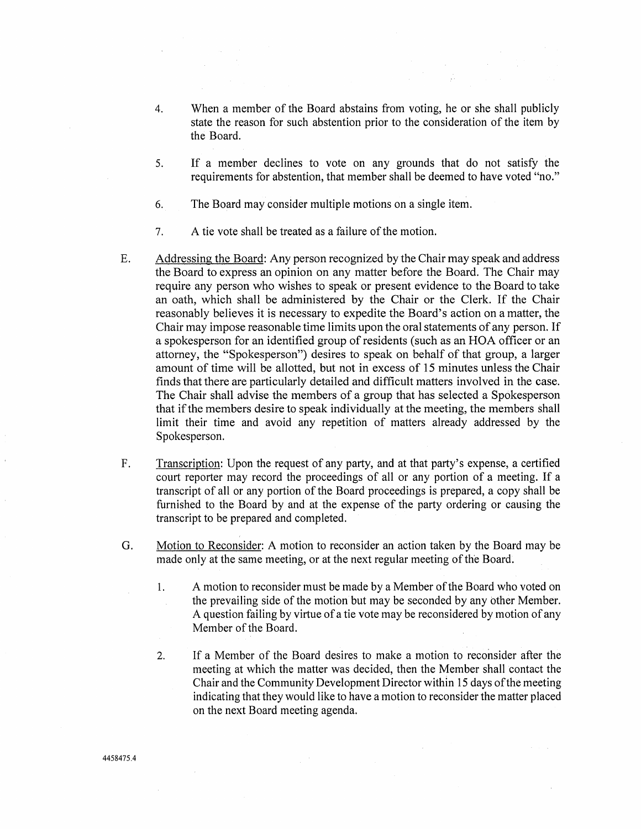- 4. When a member of the Board abstains from voting, he or she shall publicly state the reason for such abstention prior to the consideration of the item by the Board.
- 5. If a member declines to vote on any grounds that do not satisfy the requirements for abstention, that member shall be deemed to have voted "no."
- 6. The Board may consider multiple motions on a single item.
- 7. A tie vote shall be treated as a failure of the motion.
- E. Addressing the Board: Any person recognized by the Chair may speak and address the Board to express an opinion on any matter before the Board. The Chair may require any person who wishes to speak or present evidence to the Board to take an oath, which shall be administered by the Chair or the Clerk. If the Chair reasonably believes it is necessary to expedite the Board's action on a matter, the Chair may impose reasonable time limits upon the oral statements of any person. If a spokesperson for an identified group of residents (such as an HOA officer or an attorney, the "Spokesperson") desires to speak on behalf of that group, a larger amount of time will be allotted, but not in excess of 15 minutes unless the Chair finds that there are particularly detailed and difficult matters involved in the case. The Chair shall advise the members of a group that has selected a Spokesperson that if the members desire to speak individually at the meeting, the members shall limit their time and avoid any repetition of matters already addressed by the Spokesperson.
- F. Transcription: Upon the request of any party, and at that party's expense, a certified court reporter may record the proceedings of all or any portion of a meeting. If a transcript of all or any portion of the Board proceedings is prepared, a copy shall be furnished to the Board by and at the expense of the party ordering or causing the transcript to be prepared and completed.
- G. Motion to Reconsider: A motion to reconsider an action taken by the Board may be made only at the same meeting, or at the next regular meeting of the Board.
	- 1. A motion to reconsider must be made by a Member of the Board who voted on the prevailing side of the motion but may be seconded by any other Member. A question failing by virtue of a tie vote may be reconsidered by motion of any Member of the Board.
	- 2. If a Member of the Board desires to make a motion to reconsider after the meeting at which the matter was decided, then the Member shall contact the Chair and the Community Development Director within 15 days of the meeting indicating that they would like to have a motion to reconsider the matter placed on the next Board meeting agenda.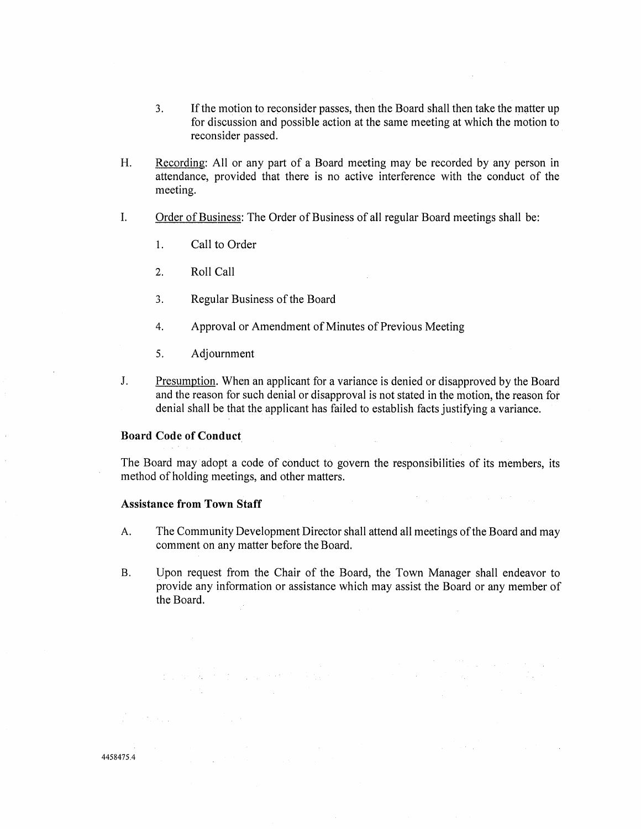- 3. If the motion to reconsider passes, then the Board shall then take the matter up for discussion and possible action at the same meeting at which the motion to reconsider passed.
- H. Recording: All or any part of a Board meeting may be recorded by any person in attendance, provided that there is no active interference with the conduct of the meeting.
- I. Order of Business: The Order of Business of all regular Board meetings shall be:
	- 1. Call to Order
	- 2. Roll Call
	- 3. Regular Business of the Board
	- 4. Approval or Amendment of Minutes of Previous Meeting
	- 5. Adjournment
- J. Presumption. When an applicant for a variance is denied or disapproved by the Board and the reason for such denial or disapproval is not stated in the motion, the reason for denial shall be that the applicant has failed to establish facts justifying a variance.

## **Board Code of Conduct**

The Board may adopt a code of conduct to govern the responsibilities of its members, its method of holding meetings, and other matters.

 $\label{eq:1} \frac{1}{\sqrt{2\pi}}\int_{0}^{\pi} \frac{1}{\sqrt{2\pi}}\left(\frac{1}{\sqrt{2\pi}}\right)^{2\pi} \frac{d\mu}{\sqrt{2\pi}}\,d\mu$ 

 $\mathcal{L}^{\mathcal{L}}(\mathcal{L}^{\mathcal{L}})$  and  $\mathcal{L}^{\mathcal{L}}(\mathcal{L}^{\mathcal{L}})$  are the set of the set of the set of  $\mathcal{L}^{\mathcal{L}}$ 

### **Assistance from Town Staff**

 $\label{eq:2.1} \mathcal{L}(\mathcal{L}^{\mathcal{L}}_{\mathcal{L}}(\mathcal{L}^{\mathcal{L}}_{\mathcal{L}})) = \mathcal{L}(\mathcal{L}^{\mathcal{L}}_{\mathcal{L}}(\mathcal{L}^{\mathcal{L}}_{\mathcal{L}})) = \mathcal{L}(\mathcal{L}^{\mathcal{L}}_{\mathcal{L}}(\mathcal{L}^{\mathcal{L}}_{\mathcal{L}}))$ 

 $\mathcal{L}_\text{max}$  and  $\mathcal{L}_\text{max}$  are the second contract of the second contract of the second contract of the second contract of the second contract of the second contract of the second contract of the second contract of t

- A. The Community Development Director shall attend all meetings of the Board and may comment on any matter before the Board.
- B. Upon request from the Chair of the Board, the Town Manager shall endeavor to provide any information or assistance which may assist the Board or any member of the Board.

 $\bar{1}$ 

 $\bar{\bar{z}}$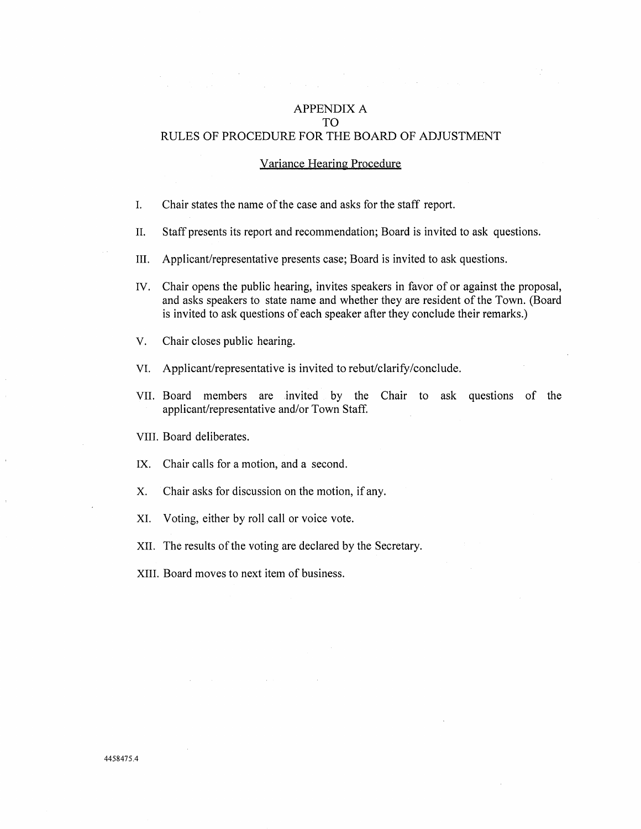# APPENDIX A TO RULES OF PROCEDURE FOR THE BOARD OF ADJUSTMENT

### Variance Hearing Procedure

- I. Chair states the name of the case and asks for the staff report.
- II. Staff presents its report and recommendation; Board is invited to ask questions.
- III. Applicant/representative presents case; Board is invited to ask questions.
- IV. Chair opens the public hearing, invites speakers in favor of or against the proposal, and asks speakers to state name and whether they are resident of the Town. (Board is invited to ask questions of each speaker after they conclude their remarks.)
- V. Chair closes public hearing.
- VI. Applicant/representative is invited to rebut/clarify/conclude.
- VII. Board members are invited by the Chair to ask questions of the applicant/representative and/or Town Staff.

VIII. Board deliberates.

- IX. Chair calls for a motion, and a second.
- X. Chair asks for discussion on the motion, if any.
- XI. Voting, either by roll call or voice vote.
- XII. The results of the voting are declared by the Secretary.
- XIII. Board moves to next item of business.

4458475.4